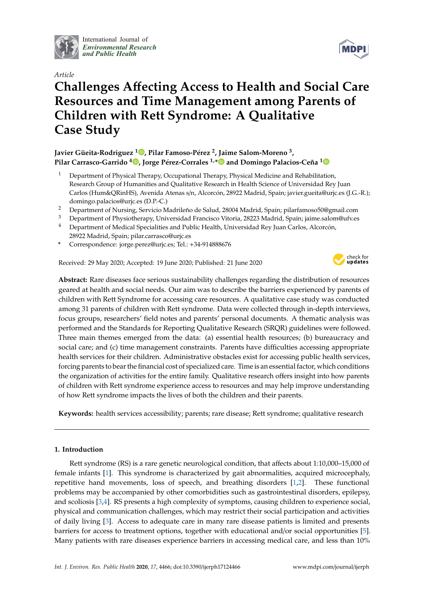

International Journal of *[Environmental Research](http://www.mdpi.com/journal/ijerph) and Public Health*



# *Article* **Challenges A**ff**ecting Access to Health and Social Care Resources and Time Management among Parents of Children with Rett Syndrome: A Qualitative Case Study**

# **Javier Güeita-Rodriguez <sup>1</sup> [,](https://orcid.org/0000-0003-4824-5915) Pilar Famoso-Pérez <sup>2</sup> , Jaime Salom-Moreno <sup>3</sup> , Pilar Carrasco-Garrido <sup>4</sup> [,](https://orcid.org/0000-0003-3000-6748) Jorge Pérez-Corrales 1,[\\*](https://orcid.org/0000-0003-3586-2623) and Domingo Palacios-Ceña [1](https://orcid.org/0000-0003-0669-6339)**

- <sup>1</sup> Department of Physical Therapy, Occupational Therapy, Physical Medicine and Rehabilitation, Research Group of Humanities and Qualitative Research in Health Science of Universidad Rey Juan Carlos (Hum&QRinHS), Avenida Atenas s/n, Alcorcón, 28922 Madrid, Spain; javier.gueita@urjc.es (J.G.-R.); domingo.palacios@urjc.es (D.P.-C.)
- <sup>2</sup> Department of Nursing, Servicio Madrileño de Salud, 28004 Madrid, Spain; pilarfamoso50@gmail.com
- <sup>3</sup> Department of Physiotherapy, Universidad Francisco Vitoria, 28223 Madrid, Spain; jaime.salom@ufv.es
- <sup>4</sup> Department of Medical Specialities and Public Health, Universidad Rey Juan Carlos, Alcorcón, 28922 Madrid, Spain; pilar.carrasco@urjc.es
- **\*** Correspondence: jorge.perez@urjc.es; Tel.: +34-914888676

Received: 29 May 2020; Accepted: 19 June 2020; Published: 21 June 2020



**Abstract:** Rare diseases face serious sustainability challenges regarding the distribution of resources geared at health and social needs. Our aim was to describe the barriers experienced by parents of children with Rett Syndrome for accessing care resources. A qualitative case study was conducted among 31 parents of children with Rett syndrome. Data were collected through in-depth interviews, focus groups, researchers' field notes and parents' personal documents. A thematic analysis was performed and the Standards for Reporting Qualitative Research (SRQR) guidelines were followed. Three main themes emerged from the data: (a) essential health resources; (b) bureaucracy and social care; and (c) time management constraints. Parents have difficulties accessing appropriate health services for their children. Administrative obstacles exist for accessing public health services, forcing parents to bear the financial cost of specialized care. Time is an essential factor, which conditions the organization of activities for the entire family. Qualitative research offers insight into how parents of children with Rett syndrome experience access to resources and may help improve understanding of how Rett syndrome impacts the lives of both the children and their parents.

**Keywords:** health services accessibility; parents; rare disease; Rett syndrome; qualitative research

## **1. Introduction**

Rett syndrome (RS) is a rare genetic neurological condition, that affects about 1:10,000–15,000 of female infants [\[1\]](#page-12-0). This syndrome is characterized by gait abnormalities, acquired microcephaly, repetitive hand movements, loss of speech, and breathing disorders [\[1](#page-12-0)[,2\]](#page-12-1). These functional problems may be accompanied by other comorbidities such as gastrointestinal disorders, epilepsy, and scoliosis [\[3,](#page-12-2)[4\]](#page-12-3). RS presents a high complexity of symptoms, causing children to experience social, physical and communication challenges, which may restrict their social participation and activities of daily living [\[3\]](#page-12-2). Access to adequate care in many rare disease patients is limited and presents barriers for access to treatment options, together with educational and/or social opportunities [\[5\]](#page-13-0). Many patients with rare diseases experience barriers in accessing medical care, and less than 10%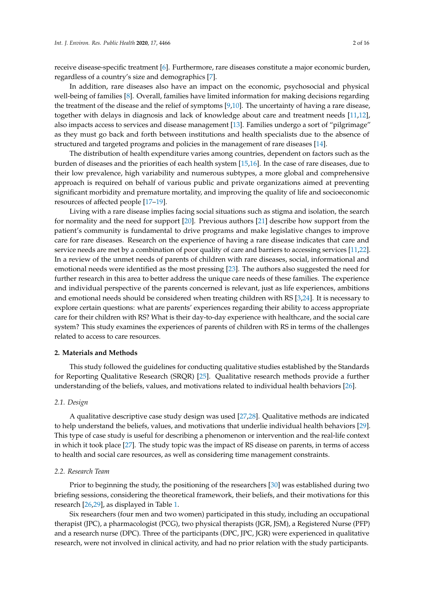receive disease-specific treatment [\[6\]](#page-13-1). Furthermore, rare diseases constitute a major economic burden, regardless of a country's size and demographics [\[7\]](#page-13-2).

In addition, rare diseases also have an impact on the economic, psychosocial and physical well-being of families [\[8\]](#page-13-3). Overall, families have limited information for making decisions regarding the treatment of the disease and the relief of symptoms [\[9,](#page-13-4)[10\]](#page-13-5). The uncertainty of having a rare disease, together with delays in diagnosis and lack of knowledge about care and treatment needs [\[11,](#page-13-6)[12\]](#page-13-7), also impacts access to services and disease management [\[13\]](#page-13-8). Families undergo a sort of "pilgrimage" as they must go back and forth between institutions and health specialists due to the absence of structured and targeted programs and policies in the management of rare diseases [\[14\]](#page-13-9).

The distribution of health expenditure varies among countries, dependent on factors such as the burden of diseases and the priorities of each health system [\[15](#page-13-10)[,16\]](#page-13-11). In the case of rare diseases, due to their low prevalence, high variability and numerous subtypes, a more global and comprehensive approach is required on behalf of various public and private organizations aimed at preventing significant morbidity and premature mortality, and improving the quality of life and socioeconomic resources of affected people [\[17](#page-13-12)[–19\]](#page-13-13).

Living with a rare disease implies facing social situations such as stigma and isolation, the search for normality and the need for support [\[20\]](#page-13-14). Previous authors [\[21\]](#page-13-15) describe how support from the patient's community is fundamental to drive programs and make legislative changes to improve care for rare diseases. Research on the experience of having a rare disease indicates that care and service needs are met by a combination of poor quality of care and barriers to accessing services [\[11](#page-13-6)[,22\]](#page-13-16). In a review of the unmet needs of parents of children with rare diseases, social, informational and emotional needs were identified as the most pressing [\[23\]](#page-13-17). The authors also suggested the need for further research in this area to better address the unique care needs of these families. The experience and individual perspective of the parents concerned is relevant, just as life experiences, ambitions and emotional needs should be considered when treating children with RS [\[3,](#page-12-2)[24\]](#page-13-18). It is necessary to explore certain questions: what are parents' experiences regarding their ability to access appropriate care for their children with RS? What is their day-to-day experience with healthcare, and the social care system? This study examines the experiences of parents of children with RS in terms of the challenges related to access to care resources.

## **2. Materials and Methods**

This study followed the guidelines for conducting qualitative studies established by the Standards for Reporting Qualitative Research (SRQR) [\[25\]](#page-13-19). Qualitative research methods provide a further understanding of the beliefs, values, and motivations related to individual health behaviors [\[26\]](#page-13-20).

#### *2.1. Design*

A qualitative descriptive case study design was used [\[27,](#page-13-21)[28\]](#page-13-22). Qualitative methods are indicated to help understand the beliefs, values, and motivations that underlie individual health behaviors [\[29\]](#page-14-0). This type of case study is useful for describing a phenomenon or intervention and the real-life context in which it took place [\[27\]](#page-13-21). The study topic was the impact of RS disease on parents, in terms of access to health and social care resources, as well as considering time management constraints.

## *2.2. Research Team*

Prior to beginning the study, the positioning of the researchers [\[30\]](#page-14-1) was established during two briefing sessions, considering the theoretical framework, their beliefs, and their motivations for this research [\[26](#page-13-20)[,29\]](#page-14-0), as displayed in Table [1.](#page-2-0)

Six researchers (four men and two women) participated in this study, including an occupational therapist (JPC), a pharmacologist (PCG), two physical therapists (JGR, JSM), a Registered Nurse (PFP) and a research nurse (DPC). Three of the participants (DPC, JPC, JGR) were experienced in qualitative research, were not involved in clinical activity, and had no prior relation with the study participants.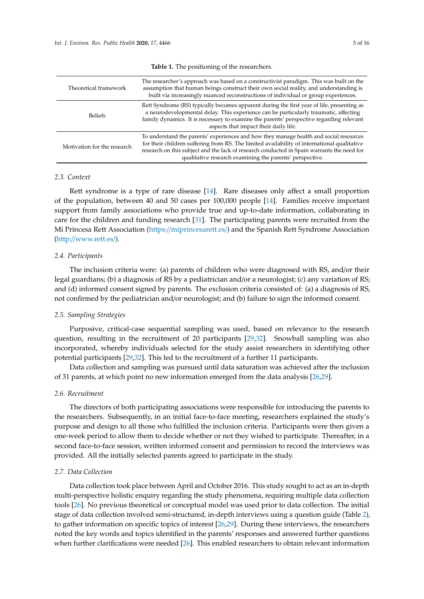<span id="page-2-0"></span>

| Theoretical framework       | The researcher's approach was based on a constructivist paradigm. This was built on the<br>assumption that human beings construct their own social reality, and understanding is<br>built via increasingly nuanced reconstructions of individual or group experiences.                                                                          |
|-----------------------------|-------------------------------------------------------------------------------------------------------------------------------------------------------------------------------------------------------------------------------------------------------------------------------------------------------------------------------------------------|
| <b>Beliefs</b>              | Rett Syndrome (RS) typically becomes apparent during the first year of life, presenting as<br>a neurodevelopmental delay. This experience can be particularly traumatic, affecting<br>family dynamics. It is necessary to examine the parents' perspective regarding relevant<br>aspects that impact their daily life.                          |
| Motivation for the research | To understand the parents' experiences and how they manage health and social resources<br>for their children suffering from RS. The limited availability of international qualitative<br>research on this subject and the lack of research conducted in Spain warrants the need for<br>qualitative research examining the parents' perspective. |

**Table 1.** The positioning of the researchers.

## *2.3. Context*

Rett syndrome is a type of rare disease [\[14\]](#page-13-9). Rare diseases only affect a small proportion of the population, between 40 and 50 cases per 100,000 people [\[14\]](#page-13-9). Families receive important support from family associations who provide true and up-to-date information, collaborating in care for the children and funding research [\[31\]](#page-14-2). The participating parents were recruited from the Mi Princesa Rett Association (https://[miprincesarett.es](https://miprincesarett.es/)/) and the Spanish Rett Syndrome Association (http://[www.rett.es](http://www.rett.es/)/).

## *2.4. Participants*

The inclusion criteria were: (a) parents of children who were diagnosed with RS, and/or their legal guardians; (b) a diagnosis of RS by a pediatrician and/or a neurologist; (c) any variation of RS; and (d) informed consent signed by parents. The exclusion criteria consisted of: (a) a diagnosis of RS, not confirmed by the pediatrician and/or neurologist; and (b) failure to sign the informed consent.

## *2.5. Sampling Strategies*

Purposive, critical-case sequential sampling was used, based on relevance to the research question, resulting in the recruitment of 20 participants [\[29](#page-14-0)[,32\]](#page-14-3). Snowball sampling was also incorporated, whereby individuals selected for the study assist researchers in identifying other potential participants [\[29](#page-14-0)[,32\]](#page-14-3). This led to the recruitment of a further 11 participants.

Data collection and sampling was pursued until data saturation was achieved after the inclusion of 31 parents, at which point no new information emerged from the data analysis [\[26,](#page-13-20)[29\]](#page-14-0).

### *2.6. Recruitment*

The directors of both participating associations were responsible for introducing the parents to the researchers. Subsequently, in an initial face-to-face meeting, researchers explained the study's purpose and design to all those who fulfilled the inclusion criteria. Participants were then given a one-week period to allow them to decide whether or not they wished to participate. Thereafter, in a second face-to-face session, written informed consent and permission to record the interviews was provided. All the initially selected parents agreed to participate in the study.

## *2.7. Data Collection*

Data collection took place between April and October 2016. This study sought to act as an in-depth multi-perspective holistic enquiry regarding the study phenomena, requiring multiple data collection tools [\[26\]](#page-13-20). No previous theoretical or conceptual model was used prior to data collection. The initial stage of data collection involved semi-structured, in-depth interviews using a question guide (Table [2\)](#page-3-0), to gather information on specific topics of interest [\[26](#page-13-20)[,29\]](#page-14-0). During these interviews, the researchers noted the key words and topics identified in the parents' responses and answered further questions when further clarifications were needed [\[26\]](#page-13-20). This enabled researchers to obtain relevant information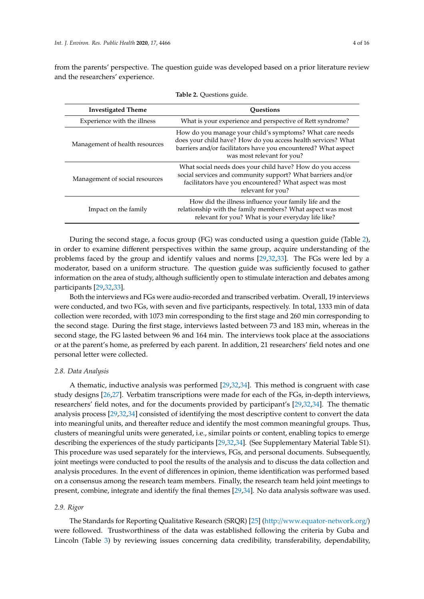from the parents' perspective. The question guide was developed based on a prior literature review and the researchers' experience.

<span id="page-3-0"></span>

| <b>Investigated Theme</b>      | <b>Ouestions</b>                                                                                                                                                                                                          |  |  |
|--------------------------------|---------------------------------------------------------------------------------------------------------------------------------------------------------------------------------------------------------------------------|--|--|
| Experience with the illness    | What is your experience and perspective of Rett syndrome?                                                                                                                                                                 |  |  |
| Management of health resources | How do you manage your child's symptoms? What care needs<br>does your child have? How do you access health services? What<br>barriers and/or facilitators have you encountered? What aspect<br>was most relevant for you? |  |  |
| Management of social resources | What social needs does your child have? How do you access<br>social services and community support? What barriers and/or<br>facilitators have you encountered? What aspect was most<br>relevant for you?                  |  |  |
| Impact on the family           | How did the illness influence your family life and the<br>relationship with the family members? What aspect was most<br>relevant for you? What is your everyday life like?                                                |  |  |

**Table 2.** Questions guide.

During the second stage, a focus group (FG) was conducted using a question guide (Table [2\)](#page-3-0), in order to examine different perspectives within the same group, acquire understanding of the problems faced by the group and identify values and norms [\[29,](#page-14-0)[32,](#page-14-3)[33\]](#page-14-4). The FGs were led by a moderator, based on a uniform structure. The question guide was sufficiently focused to gather information on the area of study, although sufficiently open to stimulate interaction and debates among participants [\[29,](#page-14-0)[32,](#page-14-3)[33\]](#page-14-4).

Both the interviews and FGs were audio-recorded and transcribed verbatim. Overall, 19 interviews were conducted, and two FGs, with seven and five participants, respectively. In total, 1333 min of data collection were recorded, with 1073 min corresponding to the first stage and 260 min corresponding to the second stage. During the first stage, interviews lasted between 73 and 183 min, whereas in the second stage, the FG lasted between 96 and 164 min. The interviews took place at the associations or at the parent's home, as preferred by each parent. In addition, 21 researchers' field notes and one personal letter were collected.

## *2.8. Data Analysis*

A thematic, inductive analysis was performed [\[29](#page-14-0)[,32](#page-14-3)[,34\]](#page-14-5). This method is congruent with case study designs [\[26,](#page-13-20)[27\]](#page-13-21). Verbatim transcriptions were made for each of the FGs, in-depth interviews, researchers' field notes, and for the documents provided by participant's [\[29,](#page-14-0)[32,](#page-14-3)[34\]](#page-14-5). The thematic analysis process [\[29](#page-14-0)[,32](#page-14-3)[,34\]](#page-14-5) consisted of identifying the most descriptive content to convert the data into meaningful units, and thereafter reduce and identify the most common meaningful groups. Thus, clusters of meaningful units were generated, i.e., similar points or content, enabling topics to emerge describing the experiences of the study participants [\[29,](#page-14-0)[32](#page-14-3)[,34\]](#page-14-5). (See Supplementary Material Table S1). This procedure was used separately for the interviews, FGs, and personal documents. Subsequently, joint meetings were conducted to pool the results of the analysis and to discuss the data collection and analysis procedures. In the event of differences in opinion, theme identification was performed based on a consensus among the research team members. Finally, the research team held joint meetings to present, combine, integrate and identify the final themes [\[29,](#page-14-0)[34\]](#page-14-5). No data analysis software was used.

#### *2.9. Rigor*

The Standards for Reporting Qualitative Research (SRQR) [\[25\]](#page-13-19) (http://[www.equator-network.org](http://www.equator-network.org/)/) were followed. Trustworthiness of the data was established following the criteria by Guba and Lincoln (Table [3\)](#page-4-0) by reviewing issues concerning data credibility, transferability, dependability,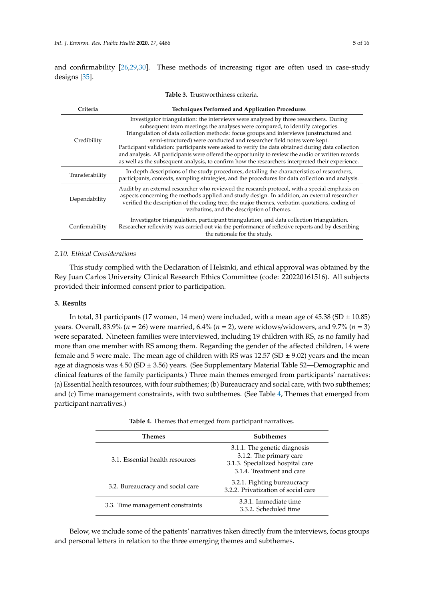and confirmability [\[26](#page-13-20)[,29](#page-14-0)[,30\]](#page-14-1). These methods of increasing rigor are often used in case-study designs [\[35\]](#page-14-6).

<span id="page-4-0"></span>

| Criteria        | <b>Techniques Performed and Application Procedures</b>                                                                                                                                                                                                                                                                                                                                                                                                                                                                                                                                                                                                    |  |  |  |  |  |
|-----------------|-----------------------------------------------------------------------------------------------------------------------------------------------------------------------------------------------------------------------------------------------------------------------------------------------------------------------------------------------------------------------------------------------------------------------------------------------------------------------------------------------------------------------------------------------------------------------------------------------------------------------------------------------------------|--|--|--|--|--|
| Credibility     | Investigator triangulation: the interviews were analyzed by three researchers. During<br>subsequent team meetings the analyses were compared, to identify categories.<br>Triangulation of data collection methods: focus groups and interviews (unstructured and<br>semi-structured) were conducted and researcher field notes were kept.<br>Participant validation: participants were asked to verify the data obtained during data collection<br>and analysis. All participants were offered the opportunity to review the audio or written records<br>as well as the subsequent analysis, to confirm how the researchers interpreted their experience. |  |  |  |  |  |
| Transferability | In-depth descriptions of the study procedures, detailing the characteristics of researchers,<br>participants, contexts, sampling strategies, and the procedures for data collection and analysis.                                                                                                                                                                                                                                                                                                                                                                                                                                                         |  |  |  |  |  |
| Dependability   | Audit by an external researcher who reviewed the research protocol, with a special emphasis on<br>aspects concerning the methods applied and study design. In addition, an external researcher<br>verified the description of the coding tree, the major themes, verbatim quotations, coding of<br>verbatims, and the description of themes.                                                                                                                                                                                                                                                                                                              |  |  |  |  |  |
| Confirmability  | Investigator triangulation, participant triangulation, and data collection triangulation.<br>Researcher reflexivity was carried out via the performance of reflexive reports and by describing<br>the rationale for the study.                                                                                                                                                                                                                                                                                                                                                                                                                            |  |  |  |  |  |

| Table 3. Trustworthiness criteria. |
|------------------------------------|
|------------------------------------|

## *2.10. Ethical Considerations*

This study complied with the Declaration of Helsinki, and ethical approval was obtained by the Rey Juan Carlos University Clinical Research Ethics Committee (code: 220220161516). All subjects provided their informed consent prior to participation.

## **3. Results**

In total, 31 participants (17 women, 14 men) were included, with a mean age of 45.38 (SD  $\pm$  10.85) years. Overall, 83.9% (*n* = 26) were married, 6.4% (*n* = 2), were widows/widowers, and 9.7% (*n* = 3) were separated. Nineteen families were interviewed, including 19 children with RS, as no family had more than one member with RS among them. Regarding the gender of the affected children, 14 were female and 5 were male. The mean age of children with RS was  $12.57$  (SD  $\pm$  9.02) years and the mean age at diagnosis was 4.50 (SD ± 3.56) years. (See Supplementary Material Table S2—Demographic and clinical features of the family participants.) Three main themes emerged from participants' narratives: (a) Essential health resources, with four subthemes; (b) Bureaucracy and social care, with two subthemes; and (c) Time management constraints, with two subthemes. (See Table [4,](#page-4-1) Themes that emerged from participant narratives.)

|  |  |  |  |  |  |  |  |  | <b>Table 4.</b> Themes that emerged from participant narratives. |
|--|--|--|--|--|--|--|--|--|------------------------------------------------------------------|
|--|--|--|--|--|--|--|--|--|------------------------------------------------------------------|

<span id="page-4-1"></span>

| Themes                           | <b>Subthemes</b>                                                                                                         |  |  |  |
|----------------------------------|--------------------------------------------------------------------------------------------------------------------------|--|--|--|
| 3.1. Essential health resources  | 3.1.1. The genetic diagnosis<br>3.1.2. The primary care<br>3.1.3. Specialized hospital care<br>3.1.4. Treatment and care |  |  |  |
| 3.2. Bureaucracy and social care | 3.2.1. Fighting bureaucracy<br>3.2.2. Privatization of social care                                                       |  |  |  |
| 3.3. Time management constraints | 3.3.1. Immediate time<br>3.3.2. Scheduled time                                                                           |  |  |  |

Below, we include some of the patients' narratives taken directly from the interviews, focus groups and personal letters in relation to the three emerging themes and subthemes.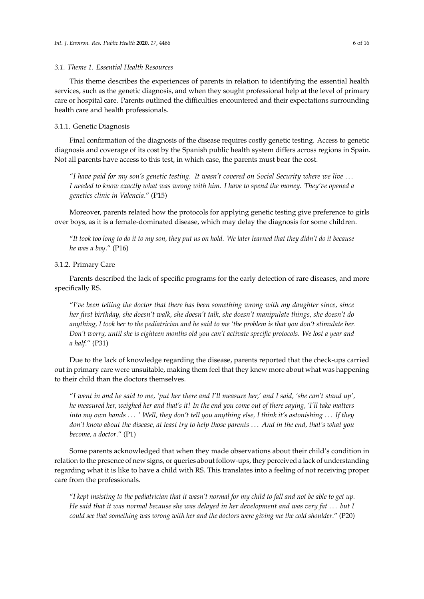## *3.1. Theme 1. Essential Health Resources*

This theme describes the experiences of parents in relation to identifying the essential health services, such as the genetic diagnosis, and when they sought professional help at the level of primary care or hospital care. Parents outlined the difficulties encountered and their expectations surrounding health care and health professionals.

## 3.1.1. Genetic Diagnosis

Final confirmation of the diagnosis of the disease requires costly genetic testing. Access to genetic diagnosis and coverage of its cost by the Spanish public health system differs across regions in Spain. Not all parents have access to this test, in which case, the parents must bear the cost.

"*I have paid for my son's genetic testing. It wasn't covered on Social Security where we live* . . . *I needed to know exactly what was wrong with him. I have to spend the money. They've opened a genetics clinic in Valencia*." (P15)

Moreover, parents related how the protocols for applying genetic testing give preference to girls over boys, as it is a female-dominated disease, which may delay the diagnosis for some children.

"*It took too long to do it to my son, they put us on hold. We later learned that they didn't do it because he was a boy*." (P16)

## 3.1.2. Primary Care

Parents described the lack of specific programs for the early detection of rare diseases, and more specifically RS.

"*I've been telling the doctor that there has been something wrong with my daughter since, since her first birthday, she doesn't walk, she doesn't talk, she doesn't manipulate things, she doesn't do anything, I took her to the pediatrician and he said to me 'the problem is that you don't stimulate her. Don't worry, until she is eighteen months old you can't activate specific protocols. We lost a year and a half*." (P31)

Due to the lack of knowledge regarding the disease, parents reported that the check-ups carried out in primary care were unsuitable, making them feel that they knew more about what was happening to their child than the doctors themselves.

"*I went in and he said to me, 'put her there and I'll measure her,' and I said, 'she can't stand up', he measured her, weighed her and that's it! In the end you come out of there saying, 'I'll take matters into my own hands* . . . *' Well, they don't tell you anything else, I think it's astonishing* . . . *If they don't know about the disease, at least try to help those parents* . . . *And in the end, that's what you become, a doctor*." (P1)

Some parents acknowledged that when they made observations about their child's condition in relation to the presence of new signs, or queries about follow-ups, they perceived a lack of understanding regarding what it is like to have a child with RS. This translates into a feeling of not receiving proper care from the professionals.

"*I kept insisting to the pediatrician that it wasn't normal for my child to fall and not be able to get up. He said that it was normal because she was delayed in her development and was very fat* . . . *but I could see that something was wrong with her and the doctors were giving me the cold shoulder*." (P20)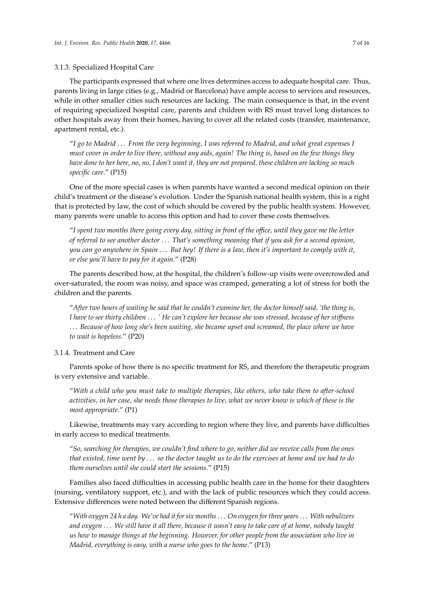## 3.1.3. Specialized Hospital Care

The participants expressed that where one lives determines access to adequate hospital care. Thus, parents living in large cities (e.g., Madrid or Barcelona) have ample access to services and resources, while in other smaller cities such resources are lacking. The main consequence is that, in the event of requiring specialized hospital care, parents and children with RS must travel long distances to other hospitals away from their homes, having to cover all the related costs (transfer, maintenance, apartment rental, etc.).

"*I go to Madrid* . . . *From the very beginning, I was referred to Madrid, and what great expenses I must cover in order to live there, without any aids, again! The thing is, based on the few things they have done to her here, no, no, I don't want it, they are not prepared, these children are lacking so much specific care*." (P15)

One of the more special cases is when parents have wanted a second medical opinion on their child's treatment or the disease's evolution. Under the Spanish national health system, this is a right that is protected by law, the cost of which should be covered by the public health system. However, many parents were unable to access this option and had to cover these costs themselves.

"*I spent two months there going every day, sitting in front of the o*ffi*ce, until they gave me the letter of referral to see another doctor* . . . *That's something meaning that if you ask for a second opinion, you can go anywhere in Spain* . . . *But hey! If there is a law, then it's important to comply with it, or else you'll have to pay for it again*." (P28)

The parents described how, at the hospital, the children's follow-up visits were overcrowded and over-saturated, the room was noisy, and space was cramped, generating a lot of stress for both the children and the parents.

"*After two hours of waiting he said that he couldn't examine her, the doctor himself said, 'the thing is, I have to see thirty children* . . . *' He can't explore her because she was stressed, because of her sti*ff*ness* . . . *Because of how long she's been waiting, she became upset and screamed, the place where we have to wait is hopeless*." (P20)

3.1.4. Treatment and Care

Parents spoke of how there is no specific treatment for RS, and therefore the therapeutic program is very extensive and variable.

"*With a child who you must take to multiple therapies, like others, who take them to after-school activities, in her case, she needs those therapies to live, what we never know is which of these is the most appropriate*." (P1)

Likewise, treatments may vary according to region where they live, and parents have difficulties in early access to medical treatments.

"*So, searching for therapies, we couldn't find where to go, neither did we receive calls from the ones that existed, time went by* . . . *so the doctor taught us to do the exercises at home and we had to do them ourselves until she could start the sessions*." (P15)

Families also faced difficulties in accessing public health care in the home for their daughters (nursing, ventilatory support, etc.), and with the lack of public resources which they could access. Extensive differences were noted between the different Spanish regions.

"*With oxygen 24 h a day. We've had it for six months*. . . *On oxygen for three years*. . . *With nebulizers and oxygen* . . . *We still have it all there, because it wasn't easy to take care of at home, nobody taught us how to manage things at the beginning. However, for other people from the association who live in Madrid, everything is easy, with a nurse who goes to the home*." (P13)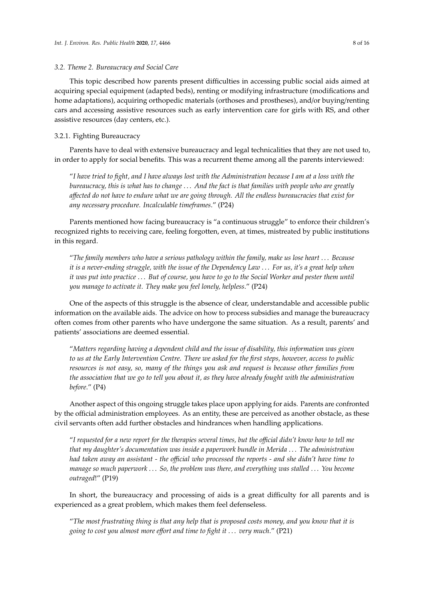#### *3.2. Theme 2. Bureaucracy and Social Care*

This topic described how parents present difficulties in accessing public social aids aimed at acquiring special equipment (adapted beds), renting or modifying infrastructure (modifications and home adaptations), acquiring orthopedic materials (orthoses and prostheses), and/or buying/renting cars and accessing assistive resources such as early intervention care for girls with RS, and other assistive resources (day centers, etc.).

# 3.2.1. Fighting Bureaucracy

Parents have to deal with extensive bureaucracy and legal technicalities that they are not used to, in order to apply for social benefits. This was a recurrent theme among all the parents interviewed:

"*I have tried to fight, and I have always lost with the Administration because I am at a loss with the bureaucracy, this is what has to change* . . . *And the fact is that families with people who are greatly a*ff*ected do not have to endure what we are going through. All the endless bureaucracies that exist for any necessary procedure. Incalculable timeframes*." (P24)

Parents mentioned how facing bureaucracy is "a continuous struggle" to enforce their children's recognized rights to receiving care, feeling forgotten, even, at times, mistreated by public institutions in this regard.

"*The family members who have a serious pathology within the family, make us lose heart* . . . *Because it is a never-ending struggle, with the issue of the Dependency Law* . . . *For us, it's a great help when it was put into practice* . . . *But of course, you have to go to the Social Worker and pester them until you manage to activate it. They make you feel lonely, helpless*." (P24)

One of the aspects of this struggle is the absence of clear, understandable and accessible public information on the available aids. The advice on how to process subsidies and manage the bureaucracy often comes from other parents who have undergone the same situation. As a result, parents' and patients' associations are deemed essential.

"*Matters regarding having a dependent child and the issue of disability, this information was given to us at the Early Intervention Centre. There we asked for the first steps, however, access to public resources is not easy, so, many of the things you ask and request is because other families from the association that we go to tell you about it, as they have already fought with the administration before*." (P4)

Another aspect of this ongoing struggle takes place upon applying for aids. Parents are confronted by the official administration employees. As an entity, these are perceived as another obstacle, as these civil servants often add further obstacles and hindrances when handling applications.

"*I requested for a new report for the therapies several times, but the o*ffi*cial didn't know how to tell me that my daughter's documentation was inside a paperwork bundle in Merida* . . . *The administration had taken away an assistant - the o*ffi*cial who processed the reports - and she didn't have time to manage so much paperwork* . . . *So, the problem was there, and everything was stalled* . . . *You become outraged*!" (P19)

In short, the bureaucracy and processing of aids is a great difficulty for all parents and is experienced as a great problem, which makes them feel defenseless.

"*The most frustrating thing is that any help that is proposed costs money, and you know that it is going to cost you almost more e*ff*ort and time to fight it* . . . *very much*." (P21)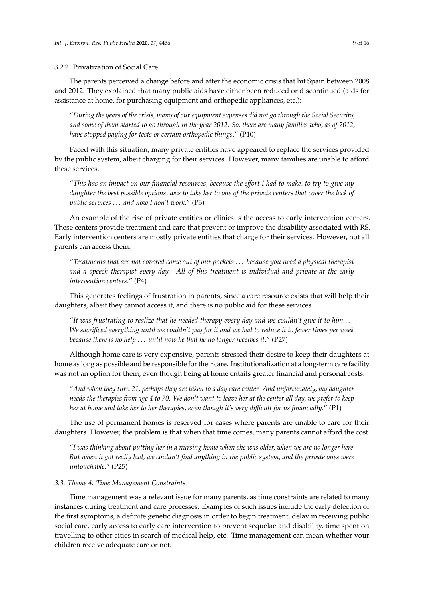## 3.2.2. Privatization of Social Care

The parents perceived a change before and after the economic crisis that hit Spain between 2008 and 2012. They explained that many public aids have either been reduced or discontinued (aids for assistance at home, for purchasing equipment and orthopedic appliances, etc.):

"*During the years of the crisis, many of our equipment expenses did not go through the Social Security, and some of them started to go through in the year 2012. So, there are many families who, as of 2012, have stopped paying for tests or certain orthopedic things*." (P10)

Faced with this situation, many private entities have appeared to replace the services provided by the public system, albeit charging for their services. However, many families are unable to afford these services.

"*This has an impact on our financial resources, because the e*ff*ort I had to make, to try to give my daughter the best possible options, was to take her to one of the private centers that cover the lack of public services* . . . *and now I don't work*." (P3)

An example of the rise of private entities or clinics is the access to early intervention centers. These centers provide treatment and care that prevent or improve the disability associated with RS. Early intervention centers are mostly private entities that charge for their services. However, not all parents can access them.

"*Treatments that are not covered come out of our pockets* . . . *because you need a physical therapist and a speech therapist every day. All of this treatment is individual and private at the early intervention centers*." (P4)

This generates feelings of frustration in parents, since a care resource exists that will help their daughters, albeit they cannot access it, and there is no public aid for these services.

"*It was frustrating to realize that he needed therapy every day and we couldn't give it to him* . . . *We sacrificed everything until we couldn't pay for it and we had to reduce it to fewer times per week because there is no help* . . . *until now he that he no longer receives it*." (P27)

Although home care is very expensive, parents stressed their desire to keep their daughters at home as long as possible and be responsible for their care. Institutionalization at a long-term care facility was not an option for them, even though being at home entails greater financial and personal costs.

"*And when they turn 21, perhaps they are taken to a day care center. And unfortunately, my daughter needs the therapies from age 4 to 70. We don't want to leave her at the center all day, we prefer to keep her at home and take her to her therapies, even though it's very di*ffi*cult for us financially*." (P1)

The use of permanent homes is reserved for cases where parents are unable to care for their daughters. However, the problem is that when that time comes, many parents cannot afford the cost.

"*I was thinking about putting her in a nursing home when she was older, when we are no longer here. But when it got really bad, we couldn't find anything in the public system, and the private ones were untouchable*." (P25)

## *3.3. Theme 4. Time Management Constraints*

Time management was a relevant issue for many parents, as time constraints are related to many instances during treatment and care processes. Examples of such issues include the early detection of the first symptoms, a definite genetic diagnosis in order to begin treatment, delay in receiving public social care, early access to early care intervention to prevent sequelae and disability, time spent on travelling to other cities in search of medical help, etc. Time management can mean whether your children receive adequate care or not.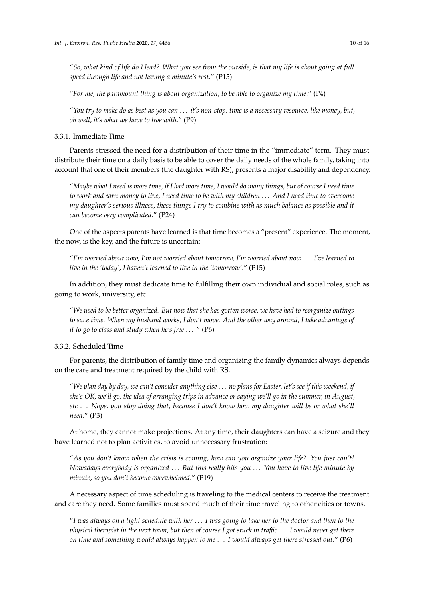"*So, what kind of life do I lead? What you see from the outside, is that my life is about going at full speed through life and not having a minute's rest*." (P15)

*"For me, the paramount thing is about organization, to be able to organize my time*." (P4)

"*You try to make do as best as you can* . . . *it's non-stop, time is a necessary resource, like money, but, oh well, it's what we have to live with*." (P9)

## 3.3.1. Immediate Time

Parents stressed the need for a distribution of their time in the "immediate" term. They must distribute their time on a daily basis to be able to cover the daily needs of the whole family, taking into account that one of their members (the daughter with RS), presents a major disability and dependency.

"*Maybe what I need is more time, if I had more time, I would do many things, but of course I need time to work and earn money to live, I need time to be with my children* . . . *And I need time to overcome my daughter's serious illness, these things I try to combine with as much balance as possible and it can become very complicated*." (P24)

One of the aspects parents have learned is that time becomes a "present" experience. The moment, the now, is the key, and the future is uncertain:

"*I'm worried about now, I'm not worried about tomorrow, I'm worried about now* . . . *I've learned to live in the 'today', I haven't learned to live in the 'tomorrow'*." (P15)

In addition, they must dedicate time to fulfilling their own individual and social roles, such as going to work, university, etc.

"*We used to be better organized. But now that she has gotten worse, we have had to reorganize outings to save time. When my husband works, I don't move. And the other way around, I take advantage of it to go to class and study when he's free* . . . " (P6)

3.3.2. Scheduled Time

For parents, the distribution of family time and organizing the family dynamics always depends on the care and treatment required by the child with RS.

"*We plan day by day, we can't consider anything else* . . . *no plans for Easter, let's see if this weekend, if she's OK, we'll go, the idea of arranging trips in advance or saying we'll go in the summer, in August, etc* . . . *Nope, you stop doing that, because I don't know how my daughter will be or what she'll need*." (P3)

At home, they cannot make projections. At any time, their daughters can have a seizure and they have learned not to plan activities, to avoid unnecessary frustration:

"*As you don't know when the crisis is coming, how can you organize your life? You just can't! Nowadays everybody is organized* . . . *But this really hits you* . . . *You have to live life minute by minute, so you don't become overwhelmed*." (P19)

A necessary aspect of time scheduling is traveling to the medical centers to receive the treatment and care they need. Some families must spend much of their time traveling to other cities or towns.

"*I was always on a tight schedule with her* . . . *I was going to take her to the doctor and then to the physical therapist in the next town, but then of course I got stuck in tra*ffi*c* . . . *I would never get there on time and something would always happen to me* . . . *I would always get there stressed out*." (P6)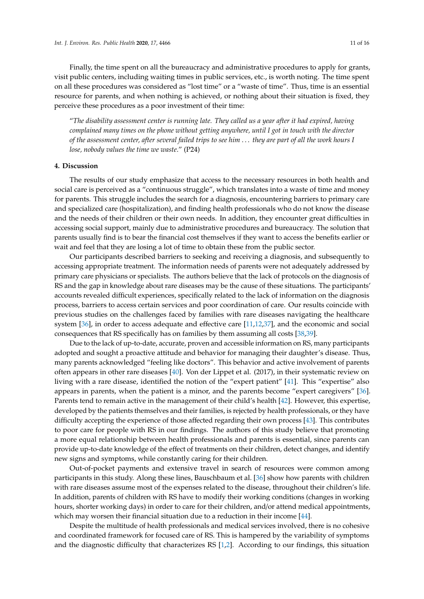Finally, the time spent on all the bureaucracy and administrative procedures to apply for grants, visit public centers, including waiting times in public services, etc., is worth noting. The time spent on all these procedures was considered as "lost time" or a "waste of time". Thus, time is an essential resource for parents, and when nothing is achieved, or nothing about their situation is fixed, they perceive these procedures as a poor investment of their time:

"*The disability assessment center is running late. They called us a year after it had expired, having complained many times on the phone without getting anywhere, until I got in touch with the director of the assessment center, after several failed trips to see him* . . . *they are part of all the work hours I lose, nobody values the time we waste*." (P24)

## **4. Discussion**

The results of our study emphasize that access to the necessary resources in both health and social care is perceived as a "continuous struggle", which translates into a waste of time and money for parents. This struggle includes the search for a diagnosis, encountering barriers to primary care and specialized care (hospitalization), and finding health professionals who do not know the disease and the needs of their children or their own needs. In addition, they encounter great difficulties in accessing social support, mainly due to administrative procedures and bureaucracy. The solution that parents usually find is to bear the financial cost themselves if they want to access the benefits earlier or wait and feel that they are losing a lot of time to obtain these from the public sector.

Our participants described barriers to seeking and receiving a diagnosis, and subsequently to accessing appropriate treatment. The information needs of parents were not adequately addressed by primary care physicians or specialists. The authors believe that the lack of protocols on the diagnosis of RS and the gap in knowledge about rare diseases may be the cause of these situations. The participants' accounts revealed difficult experiences, specifically related to the lack of information on the diagnosis process, barriers to access certain services and poor coordination of care. Our results coincide with previous studies on the challenges faced by families with rare diseases navigating the healthcare system [\[36\]](#page-14-7), in order to access adequate and effective care [\[11](#page-13-6)[,12,](#page-13-7)[37\]](#page-14-8), and the economic and social consequences that RS specifically has on families by them assuming all costs [\[38,](#page-14-9)[39\]](#page-14-10).

Due to the lack of up-to-date, accurate, proven and accessible information on RS, many participants adopted and sought a proactive attitude and behavior for managing their daughter's disease. Thus, many parents acknowledged "feeling like doctors". This behavior and active involvement of parents often appears in other rare diseases [\[40\]](#page-14-11). Von der Lippet et al. (2017), in their systematic review on living with a rare disease, identified the notion of the "expert patient" [\[41\]](#page-14-12). This "expertise" also appears in parents, when the patient is a minor, and the parents become "expert caregivers" [\[36\]](#page-14-7). Parents tend to remain active in the management of their child's health [\[42\]](#page-14-13). However, this expertise, developed by the patients themselves and their families, is rejected by health professionals, or they have difficulty accepting the experience of those affected regarding their own process [\[43\]](#page-14-14). This contributes to poor care for people with RS in our findings. The authors of this study believe that promoting a more equal relationship between health professionals and parents is essential, since parents can provide up-to-date knowledge of the effect of treatments on their children, detect changes, and identify new signs and symptoms, while constantly caring for their children.

Out-of-pocket payments and extensive travel in search of resources were common among participants in this study. Along these lines, Bauschbaum et al. [\[36\]](#page-14-7) show how parents with children with rare diseases assume most of the expenses related to the disease, throughout their children's life. In addition, parents of children with RS have to modify their working conditions (changes in working hours, shorter working days) in order to care for their children, and/or attend medical appointments, which may worsen their financial situation due to a reduction in their income [\[44\]](#page-14-15).

Despite the multitude of health professionals and medical services involved, there is no cohesive and coordinated framework for focused care of RS. This is hampered by the variability of symptoms and the diagnostic difficulty that characterizes RS [\[1](#page-12-0)[,2\]](#page-12-1). According to our findings, this situation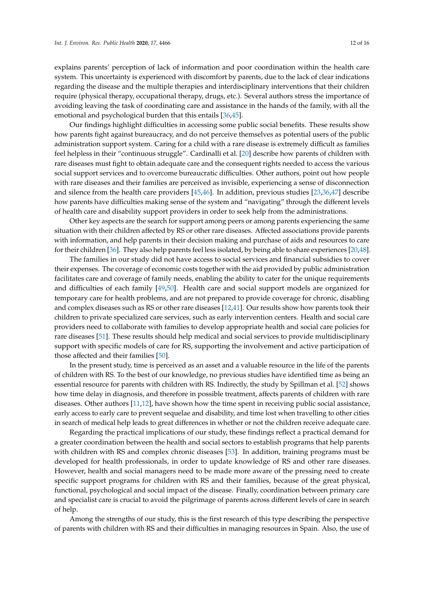explains parents' perception of lack of information and poor coordination within the health care system. This uncertainty is experienced with discomfort by parents, due to the lack of clear indications regarding the disease and the multiple therapies and interdisciplinary interventions that their children require (physical therapy, occupational therapy, drugs, etc.). Several authors stress the importance of avoiding leaving the task of coordinating care and assistance in the hands of the family, with all the emotional and psychological burden that this entails [\[36,](#page-14-7)[45\]](#page-14-16).

Our findings highlight difficulties in accessing some public social benefits. These results show how parents fight against bureaucracy, and do not perceive themselves as potential users of the public administration support system. Caring for a child with a rare disease is extremely difficult as families feel helpless in their "continuous struggle". Cardinalli et al. [\[20\]](#page-13-14) describe how parents of children with rare diseases must fight to obtain adequate care and the consequent rights needed to access the various social support services and to overcome bureaucratic difficulties. Other authors, point out how people with rare diseases and their families are perceived as invisible, experiencing a sense of disconnection and silence from the health care providers [\[45,](#page-14-16)[46\]](#page-14-17). In addition, previous studies [\[23](#page-13-17)[,36](#page-14-7)[,47\]](#page-14-18) describe how parents have difficulties making sense of the system and "navigating" through the different levels of health care and disability support providers in order to seek help from the administrations.

Other key aspects are the search for support among peers or among parents experiencing the same situation with their children affected by RS or other rare diseases. Affected associations provide parents with information, and help parents in their decision making and purchase of aids and resources to care for their children [\[36\]](#page-14-7). They also help parents feel less isolated, by being able to share experiences [\[20](#page-13-14)[,48\]](#page-14-19).

The families in our study did not have access to social services and financial subsidies to cover their expenses. The coverage of economic costs together with the aid provided by public administration facilitates care and coverage of family needs, enabling the ability to cater for the unique requirements and difficulties of each family [\[49,](#page-14-20)[50\]](#page-14-21). Health care and social support models are organized for temporary care for health problems, and are not prepared to provide coverage for chronic, disabling and complex diseases such as RS or other rare diseases [\[12,](#page-13-7)[41\]](#page-14-12). Our results show how parents took their children to private specialized care services, such as early intervention centers. Health and social care providers need to collaborate with families to develop appropriate health and social care policies for rare diseases [\[51\]](#page-14-22). These results should help medical and social services to provide multidisciplinary support with specific models of care for RS, supporting the involvement and active participation of those affected and their families [\[50\]](#page-14-21).

In the present study, time is perceived as an asset and a valuable resource in the life of the parents of children with RS. To the best of our knowledge, no previous studies have identified time as being an essential resource for parents with children with RS. Indirectly, the study by Spillman et al. [\[52\]](#page-15-0) shows how time delay in diagnosis, and therefore in possible treatment, affects parents of children with rare diseases. Other authors [\[11](#page-13-6)[,12\]](#page-13-7), have shown how the time spent in receiving public social assistance, early access to early care to prevent sequelae and disability, and time lost when travelling to other cities in search of medical help leads to great differences in whether or not the children receive adequate care.

Regarding the practical implications of our study, these findings reflect a practical demand for a greater coordination between the health and social sectors to establish programs that help parents with children with RS and complex chronic diseases [\[53\]](#page-15-1). In addition, training programs must be developed for health professionals, in order to update knowledge of RS and other rare diseases. However, health and social managers need to be made more aware of the pressing need to create specific support programs for children with RS and their families, because of the great physical, functional, psychological and social impact of the disease. Finally, coordination between primary care and specialist care is crucial to avoid the pilgrimage of parents across different levels of care in search of help.

Among the strengths of our study, this is the first research of this type describing the perspective of parents with children with RS and their difficulties in managing resources in Spain. Also, the use of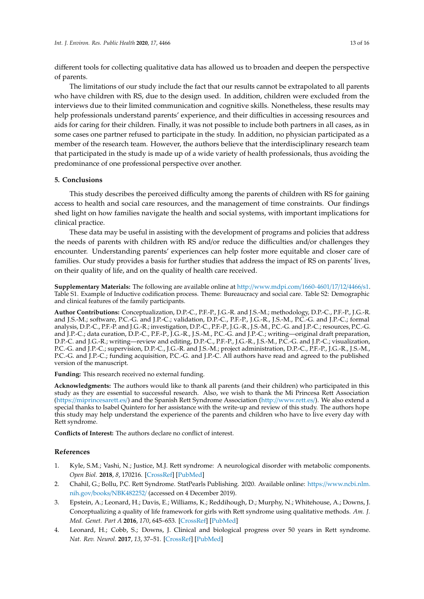different tools for collecting qualitative data has allowed us to broaden and deepen the perspective of parents.

The limitations of our study include the fact that our results cannot be extrapolated to all parents who have children with RS, due to the design used. In addition, children were excluded from the interviews due to their limited communication and cognitive skills. Nonetheless, these results may help professionals understand parents' experience, and their difficulties in accessing resources and aids for caring for their children. Finally, it was not possible to include both partners in all cases, as in some cases one partner refused to participate in the study. In addition, no physician participated as a member of the research team. However, the authors believe that the interdisciplinary research team that participated in the study is made up of a wide variety of health professionals, thus avoiding the predominance of one professional perspective over another.

## **5. Conclusions**

This study describes the perceived difficulty among the parents of children with RS for gaining access to health and social care resources, and the management of time constraints. Our findings shed light on how families navigate the health and social systems, with important implications for clinical practice.

These data may be useful in assisting with the development of programs and policies that address the needs of parents with children with RS and/or reduce the difficulties and/or challenges they encounter. Understanding parents' experiences can help foster more equitable and closer care of families. Our study provides a basis for further studies that address the impact of RS on parents' lives, on their quality of life, and on the quality of health care received.

**Supplementary Materials:** The following are available online at http://[www.mdpi.com](http://www.mdpi.com/1660-4601/17/12/4466/s1)/1660-4601/17/12/4466/s1. Table S1. Example of Inductive codification process. Theme: Bureaucracy and social care. Table S2: Demographic and clinical features of the family participants.

**Author Contributions:** Conceptualization, D.P.-C., P.F.-P., J.G.-R. and J.S.-M.; methodology, D.P.-C., P.F.-P., J.G.-R. and J.S.-M.; software, P.C.-G. and J.P.-C.; validation, D.P.-C., P.F.-P., J.G.-R., J.S.-M., P.C.-G. and J.P.-C.; formal analysis, D.P.-C., P.F.-P. and J.G.-R.; investigation, D.P.-C., P.F.-P., J.G.-R., J.S.-M., P.C.-G. and J.P.-C.; resources, P.C.-G. and J.P.-C.; data curation, D.P.-C., P.F.-P., J.G.-R., J.S.-M., P.C.-G. and J.P.-C.; writing—original draft preparation, D.P.-C. and J.G.-R.; writing—review and editing, D.P.-C., P.F.-P., J.G.-R., J.S.-M., P.C.-G. and J.P.-C.; visualization, P.C.-G. and J.P.-C.; supervision, D.P.-C., J.G.-R. and J.S.-M.; project administration, D.P.-C., P.F.-P., J.G.-R., J.S.-M., P.C.-G. and J.P.-C.; funding acquisition, P.C.-G. and J.P.-C. All authors have read and agreed to the published version of the manuscript.

**Funding:** This research received no external funding.

**Acknowledgments:** The authors would like to thank all parents (and their children) who participated in this study as they are essential to successful research. Also, we wish to thank the Mi Princesa Rett Association (https://[miprincesarett.es](https://miprincesarett.es/)/) and the Spanish Rett Syndrome Association (http://[www.rett.es](http://www.rett.es/)/). We also extend a special thanks to Isabel Quintero for her assistance with the write-up and review of this study. The authors hope this study may help understand the experience of the parents and children who have to live every day with Rett syndrome.

**Conflicts of Interest:** The authors declare no conflict of interest.

## **References**

- <span id="page-12-0"></span>1. Kyle, S.M.; Vashi, N.; Justice, M.J. Rett syndrome: A neurological disorder with metabolic components. *Open Biol.* **2018**, *8*, 170216. [\[CrossRef\]](http://dx.doi.org/10.1098/rsob.170216) [\[PubMed\]](http://www.ncbi.nlm.nih.gov/pubmed/29445033)
- <span id="page-12-1"></span>2. Chahil, G.; Bollu, P.C. Rett Syndrome. StatPearls Publishing. 2020. Available online: https://[www.ncbi.nlm.](https://www.ncbi.nlm.nih.gov/books/NBK482252/) nih.gov/books/[NBK482252](https://www.ncbi.nlm.nih.gov/books/NBK482252/)/ (accessed on 4 December 2019).
- <span id="page-12-2"></span>3. Epstein, A.; Leonard, H.; Davis, E.; Williams, K.; Reddihough, D.; Murphy, N.; Whitehouse, A.; Downs, J. Conceptualizing a quality of life framework for girls with Rett syndrome using qualitative methods. *Am. J. Med. Genet. Part A* **2016**, *170*, 645–653. [\[CrossRef\]](http://dx.doi.org/10.1002/ajmg.a.37500) [\[PubMed\]](http://www.ncbi.nlm.nih.gov/pubmed/26686505)
- <span id="page-12-3"></span>4. Leonard, H.; Cobb, S.; Downs, J. Clinical and biological progress over 50 years in Rett syndrome. *Nat. Rev. Neurol.* **2017**, *13*, 37–51. [\[CrossRef\]](http://dx.doi.org/10.1038/nrneurol.2016.186) [\[PubMed\]](http://www.ncbi.nlm.nih.gov/pubmed/27934853)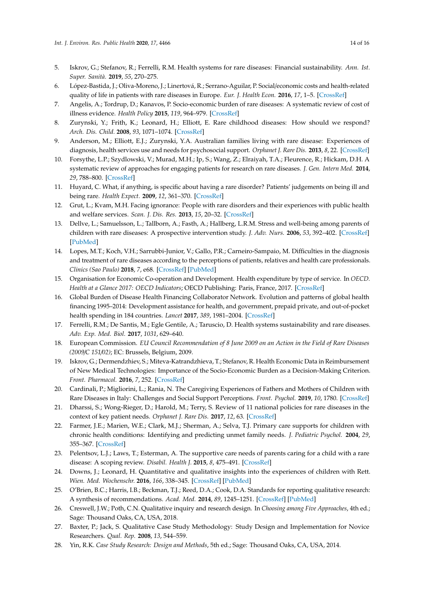- <span id="page-13-0"></span>5. Iskrov, G.; Stefanov, R.; Ferrelli, R.M. Health systems for rare diseases: Financial sustainability. *Ann. Ist. Super. Sanità.* **2019**, *55*, 270–275.
- <span id="page-13-1"></span>6. López-Bastida, J.; Oliva-Moreno, J.; Linertová, R.; Serrano-Aguilar, P. Social/economic costs and health-related quality of life in patients with rare diseases in Europe. *Eur. J. Health Econ.* **2016**, *17*, 1–5. [\[CrossRef\]](http://dx.doi.org/10.1007/s10198-016-0780-7)
- <span id="page-13-2"></span>7. Angelis, A.; Tordrup, D.; Kanavos, P. Socio-economic burden of rare diseases: A systematic review of cost of illness evidence. *Health Policy* **2015**, *119*, 964–979. [\[CrossRef\]](http://dx.doi.org/10.1016/j.healthpol.2014.12.016)
- <span id="page-13-3"></span>8. Zurynski, Y.; Frith, K.; Leonard, H.; Elliott, E. Rare childhood diseases: How should we respond? *Arch. Dis. Child.* **2008**, *93*, 1071–1074. [\[CrossRef\]](http://dx.doi.org/10.1136/adc.2007.134940)
- <span id="page-13-4"></span>9. Anderson, M.; Elliott, E.J.; Zurynski, Y.A. Australian families living with rare disease: Experiences of diagnosis, health services use and needs for psychosocial support. *Orphanet J. Rare Dis.* **2013**, *8*, 22. [\[CrossRef\]](http://dx.doi.org/10.1186/1750-1172-8-22)
- <span id="page-13-5"></span>10. Forsythe, L.P.; Szydlowski, V.; Murad, M.H.; Ip, S.; Wang, Z.; Elraiyah, T.A.; Fleurence, R.; Hickam, D.H. A systematic review of approaches for engaging patients for research on rare diseases. *J. Gen. Intern Med.* **2014**, *29*, 788–800. [\[CrossRef\]](http://dx.doi.org/10.1007/s11606-014-2895-9)
- <span id="page-13-6"></span>11. Huyard, C. What, if anything, is specific about having a rare disorder? Patients' judgements on being ill and being rare. *Health Expect.* **2009**, *12*, 361–370. [\[CrossRef\]](http://dx.doi.org/10.1111/j.1369-7625.2009.00552.x)
- <span id="page-13-7"></span>12. Grut, L.; Kvam, M.H. Facing ignorance: People with rare disorders and their experiences with public health and welfare services. *Scan. J. Dis. Res.* **2013**, *15*, 20–32. [\[CrossRef\]](http://dx.doi.org/10.1080/15017419.2011.645870)
- <span id="page-13-8"></span>13. Dellve, L.; Samuelsson, L.; Tallborn, A.; Fasth, A.; Hallberg, L.R.M. Stress and well-being among parents of children with rare diseases: A prospective intervention study. *J. Adv. Nurs.* **2006**, *53*, 392–402. [\[CrossRef\]](http://dx.doi.org/10.1111/j.1365-2648.2006.03736.x) [\[PubMed\]](http://www.ncbi.nlm.nih.gov/pubmed/16448482)
- <span id="page-13-9"></span>14. Lopes, M.T.; Koch, V.H.; Sarrubbi-Junior, V.; Gallo, P.R.; Carneiro-Sampaio, M. Difficulties in the diagnosis and treatment of rare diseases according to the perceptions of patients, relatives and health care professionals. *Clinics (Sao Paulo)* **2018**, *7*, e68. [\[CrossRef\]](http://dx.doi.org/10.6061/clinics/2018/e68) [\[PubMed\]](http://www.ncbi.nlm.nih.gov/pubmed/29641803)
- <span id="page-13-10"></span>15. Organisation for Economic Co-operation and Development. Health expenditure by type of service. In *OECD. Health at a Glance 2017: OECD Indicators*; OECD Publishing: Paris, France, 2017. [\[CrossRef\]](http://dx.doi.org/10.1787/health_glance-2017-48-enx)
- <span id="page-13-11"></span>16. Global Burden of Disease Health Financing Collaborator Network. Evolution and patterns of global health financing 1995–2014: Development assistance for health, and government, prepaid private, and out-of-pocket health spending in 184 countries. *Lancet* **2017**, *389*, 1981–2004. [\[CrossRef\]](http://dx.doi.org/10.1016/S0140-6736(17)30874-7)
- <span id="page-13-12"></span>17. Ferrelli, R.M.; De Santis, M.; Egle Gentile, A.; Taruscio, D. Health systems sustainability and rare diseases. *Adv. Exp. Med. Biol.* **2017**, *1031*, 629–640.
- 18. European Commission. *EU Council Recommendation of 8 June 2009 on an Action in the Field of Rare Diseases (2009*/*C 151*/*02)*; EC: Brussels, Belgium, 2009.
- <span id="page-13-13"></span>19. Iskrov, G.; Dermendzhiev, S.; Miteva-Katrandzhieva, T.; Stefanov, R. Health Economic Data in Reimbursement of New Medical Technologies: Importance of the Socio-Economic Burden as a Decision-Making Criterion. *Front. Pharmacol.* **2016**, *7*, 252. [\[CrossRef\]](http://dx.doi.org/10.3389/fphar.2016.00252)
- <span id="page-13-14"></span>20. Cardinali, P.; Migliorini, L.; Rania, N. The Caregiving Experiences of Fathers and Mothers of Children with Rare Diseases in Italy: Challenges and Social Support Perceptions. *Front. Psychol.* **2019**, *10*, 1780. [\[CrossRef\]](http://dx.doi.org/10.3389/fpsyg.2019.01780)
- <span id="page-13-15"></span>21. Dharssi, S.; Wong-Rieger, D.; Harold, M.; Terry, S. Review of 11 national policies for rare diseases in the context of key patient needs. *Orphanet J. Rare Dis.* **2017**, *12*, 63. [\[CrossRef\]](http://dx.doi.org/10.1186/s13023-017-0618-0)
- <span id="page-13-16"></span>22. Farmer, J.E.; Marien, W.E.; Clark, M.J.; Sherman, A.; Selva, T.J. Primary care supports for children with chronic health conditions: Identifying and predicting unmet family needs. *J. Pediatric Psychol.* **2004**, *29*, 355–367. [\[CrossRef\]](http://dx.doi.org/10.1093/jpepsy/jsh039)
- <span id="page-13-17"></span>23. Pelentsov, L.J.; Laws, T.; Esterman, A. The supportive care needs of parents caring for a child with a rare disease: A scoping review. *Disabil. Health J.* **2015**, *8*, 475–491. [\[CrossRef\]](http://dx.doi.org/10.1016/j.dhjo.2015.03.009)
- <span id="page-13-18"></span>24. Downs, J.; Leonard, H. Quantitative and qualitative insights into the experiences of children with Rett. *Wien. Med. Wochenschr.* **2016**, *166*, 338–345. [\[CrossRef\]](http://dx.doi.org/10.1007/s10354-016-0494-6) [\[PubMed\]](http://www.ncbi.nlm.nih.gov/pubmed/27491552)
- <span id="page-13-19"></span>25. O'Brien, B.C.; Harris, I.B.; Beckman, T.J.; Reed, D.A.; Cook, D.A. Standards for reporting qualitative research: A synthesis of recommendations. *Acad. Med.* **2014**, *89*, 1245–1251. [\[CrossRef\]](http://dx.doi.org/10.1097/ACM.0000000000000388) [\[PubMed\]](http://www.ncbi.nlm.nih.gov/pubmed/24979285)
- <span id="page-13-20"></span>26. Creswell, J.W.; Poth, C.N. Qualitative inquiry and research design. In *Choosing among Five Approaches*, 4th ed.; Sage: Thousand Oaks, CA, USA, 2018.
- <span id="page-13-21"></span>27. Baxter, P.; Jack, S. Qualitative Case Study Methodology: Study Design and Implementation for Novice Researchers. *Qual. Rep.* **2008**, *13*, 544–559.
- <span id="page-13-22"></span>28. Yin, R.K. *Case Study Research: Design and Methods*, 5th ed.; Sage: Thousand Oaks, CA, USA, 2014.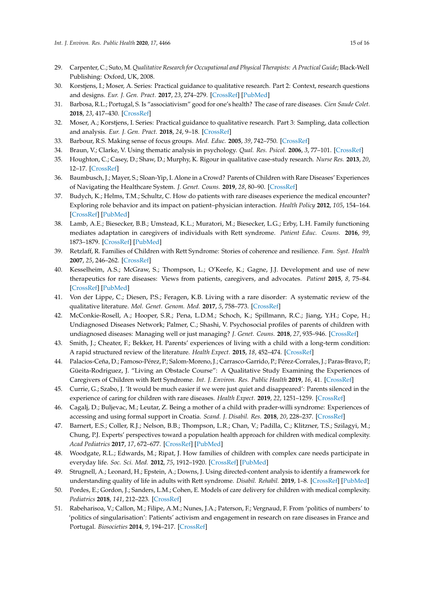- <span id="page-14-0"></span>29. Carpenter, C.; Suto, M. *Qualitative Research for Occupational and Physical Therapists: A Practical Guide*; Black-Well Publishing: Oxford, UK, 2008.
- <span id="page-14-1"></span>30. Korstjens, I.; Moser, A. Series: Practical guidance to qualitative research. Part 2: Context, research questions and designs. *Eur. J. Gen. Pract.* **2017**, *23*, 274–279. [\[CrossRef\]](http://dx.doi.org/10.1080/13814788.2017.1375090) [\[PubMed\]](http://www.ncbi.nlm.nih.gov/pubmed/29185826)
- <span id="page-14-2"></span>31. Barbosa, R.L.; Portugal, S. Is "associativism" good for one's health? The case of rare diseases. *Cien Saude Colet.* **2018**, *23*, 417–430. [\[CrossRef\]](http://dx.doi.org/10.1590/1413-81232018232.24032017)
- <span id="page-14-3"></span>32. Moser, A.; Korstjens, I. Series: Practical guidance to qualitative research. Part 3: Sampling, data collection and analysis. *Eur. J. Gen. Pract.* **2018**, *24*, 9–18. [\[CrossRef\]](http://dx.doi.org/10.1080/13814788.2017.1375091)
- <span id="page-14-4"></span>33. Barbour, R.S. Making sense of focus groups. *Med. Educ.* **2005**, *39*, 742–750. [\[CrossRef\]](http://dx.doi.org/10.1111/j.1365-2929.2005.02200.x)
- <span id="page-14-5"></span>34. Braun, V.; Clarke, V. Using thematic analysis in psychology. *Qual. Res. Psicol.* **2006**, *3*, 77–101. [\[CrossRef\]](http://dx.doi.org/10.1191/1478088706qp063oa)
- <span id="page-14-6"></span>35. Houghton, C.; Casey, D.; Shaw, D.; Murphy, K. Rigour in qualitative case-study research. *Nurse Res.* **2013**, *20*, 12–17. [\[CrossRef\]](http://dx.doi.org/10.7748/nr2013.03.20.4.12.e326)
- <span id="page-14-7"></span>36. Baumbusch, J.; Mayer, S.; Sloan-Yip, I. Alone in a Crowd? Parents of Children with Rare Diseases' Experiences of Navigating the Healthcare System. *J. Genet. Couns.* **2019**, *28*, 80–90. [\[CrossRef\]](http://dx.doi.org/10.1007/s10897-018-0294-9)
- <span id="page-14-8"></span>37. Budych, K.; Helms, T.M.; Schultz, C. How do patients with rare diseases experience the medical encounter? Exploring role behavior and its impact on patient–physician interaction. *Health Policy* **2012**, *105*, 154–164. [\[CrossRef\]](http://dx.doi.org/10.1016/j.healthpol.2012.02.018) [\[PubMed\]](http://www.ncbi.nlm.nih.gov/pubmed/22464590)
- <span id="page-14-9"></span>38. Lamb, A.E.; Biesecker, B.B.; Umstead, K.L.; Muratori, M.; Biesecker, L.G.; Erby, L.H. Family functioning mediates adaptation in caregivers of individuals with Rett syndrome. *Patient Educ. Couns.* **2016**, *99*, 1873–1879. [\[CrossRef\]](http://dx.doi.org/10.1016/j.pec.2016.06.018) [\[PubMed\]](http://www.ncbi.nlm.nih.gov/pubmed/27373960)
- <span id="page-14-10"></span>39. Retzlaff, R. Families of Children with Rett Syndrome: Stories of coherence and resilience. *Fam. Syst. Health* **2007**, *25*, 246–262. [\[CrossRef\]](http://dx.doi.org/10.1037/1091-7527.25.3.246)
- <span id="page-14-11"></span>40. Kesselheim, A.S.; McGraw, S.; Thompson, L.; O'Keefe, K.; Gagne, J.J. Development and use of new therapeutics for rare diseases: Views from patients, caregivers, and advocates. *Patient* **2015**, *8*, 75–84. [\[CrossRef\]](http://dx.doi.org/10.1007/s40271-014-0096-6) [\[PubMed\]](http://www.ncbi.nlm.nih.gov/pubmed/25362528)
- <span id="page-14-12"></span>41. Von der Lippe, C.; Diesen, P.S.; Feragen, K.B. Living with a rare disorder: A systematic review of the qualitative literature. *Mol. Genet. Genom. Med.* **2017**, *5*, 758–773. [\[CrossRef\]](http://dx.doi.org/10.1002/mgg3.315)
- <span id="page-14-13"></span>42. McConkie-Rosell, A.; Hooper, S.R.; Pena, L.D.M.; Schoch, K.; Spillmann, R.C.; Jiang, Y.H.; Cope, H.; Undiagnosed Diseases Network; Palmer, C.; Shashi, V. Psychosocial profiles of parents of children with undiagnosed diseases: Managing well or just managing? *J. Genet. Couns.* **2018**, *27*, 935–946. [\[CrossRef\]](http://dx.doi.org/10.1007/s10897-017-0193-5)
- <span id="page-14-14"></span>43. Smith, J.; Cheater, F.; Bekker, H. Parents' experiences of living with a child with a long-term condition: A rapid structured review of the literature. *Health Expect.* **2015**, *18*, 452–474. [\[CrossRef\]](http://dx.doi.org/10.1111/hex.12040)
- <span id="page-14-15"></span>44. Palacios-Ceña, D.; Famoso-Pérez, P.; Salom-Moreno, J.; Carrasco-Garrido, P.; Pérez-Corrales, J.; Paras-Bravo, P.; Güeita-Rodriguez, J. "Living an Obstacle Course": A Qualitative Study Examining the Experiences of Caregivers of Children with Rett Syndrome. *Int. J. Environ. Res. Public Health* **2019**, *16*, 41. [\[CrossRef\]](http://dx.doi.org/10.3390/ijerph16010041)
- <span id="page-14-16"></span>45. Currie, G.; Szabo, J. 'It would be much easier if we were just quiet and disappeared': Parents silenced in the experience of caring for children with rare diseases. *Health Expect.* **2019**, *22*, 1251–1259. [\[CrossRef\]](http://dx.doi.org/10.1111/hex.12958)
- <span id="page-14-17"></span>46. Cagalj, D.; Buljevac, M.; Leutar, Z. Being a mother of a child with prader-willi syndrome: Experiences of accessing and using formal support in Croatia. *Scand. J. Disabil. Res.* **2018**, *20*, 228–237. [\[CrossRef\]](http://dx.doi.org/10.16993/sjdr.13)
- <span id="page-14-18"></span>47. Barnert, E.S.; Coller, R.J.; Nelson, B.B.; Thompson, L.R.; Chan, V.; Padilla, C.; Klitzner, T.S.; Szilagyi, M.; Chung, P.J. Experts' perspectives toward a population health approach for children with medical complexity. *Acad Pediatrics* **2017**, *17*, 672–677. [\[CrossRef\]](http://dx.doi.org/10.1016/j.acap.2017.02.010) [\[PubMed\]](http://www.ncbi.nlm.nih.gov/pubmed/28246024)
- <span id="page-14-19"></span>48. Woodgate, R.L.; Edwards, M.; Ripat, J. How families of children with complex care needs participate in everyday life. *Soc. Sci. Med.* **2012**, *75*, 1912–1920. [\[CrossRef\]](http://dx.doi.org/10.1016/j.socscimed.2012.07.037) [\[PubMed\]](http://www.ncbi.nlm.nih.gov/pubmed/22901669)
- <span id="page-14-20"></span>49. Strugnell, A.; Leonard, H.; Epstein, A.; Downs, J. Using directed-content analysis to identify a framework for understanding quality of life in adults with Rett syndrome. *Disabil. Rehabil.* **2019**, 1–8. [\[CrossRef\]](http://dx.doi.org/10.1080/09638288.2019.1610801) [\[PubMed\]](http://www.ncbi.nlm.nih.gov/pubmed/31074665)
- <span id="page-14-21"></span>50. Pordes, E.; Gordon, J.; Sanders, L.M.; Cohen, E. Models of care delivery for children with medical complexity. *Pediatrics* **2018**, *141*, 212–223. [\[CrossRef\]](http://dx.doi.org/10.1542/peds.2017-1284F)
- <span id="page-14-22"></span>51. Rabeharisoa, V.; Callon, M.; Filipe, A.M.; Nunes, J.A.; Paterson, F.; Vergnaud, F. From 'politics of numbers' to 'politics of singularisation': Patients' activism and engagement in research on rare diseases in France and Portugal. *Biosocieties* **2014**, *9*, 194–217. [\[CrossRef\]](http://dx.doi.org/10.1057/biosoc.2014.4)